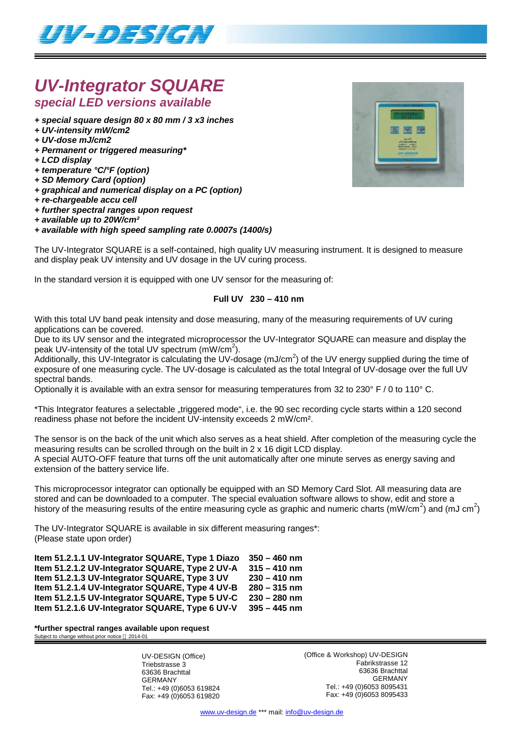

# *UV-Integrator SQUARE special LED versions available*

- *+ special square design 80 x 80 mm / 3 x3 inches*
- *+ UV-intensity mW/cm2*
- *+ UV-dose mJ/cm2*
- *+ Permanent or triggered measuring\**
- *+ LCD display*
- *+ temperature °C/°F (option)*
- *+ SD Memory Card (option)*
- *+ graphical and numerical display on a PC (option)*
- *+ re-chargeable accu cell*
- *+ further spectral ranges upon request*
- *+ available up to 20W/cm²*

#### *+ available with high speed sampling rate 0.0007s (1400/s)*

The UV-Integrator SQUARE is a self-contained, high quality UV measuring instrument. It is designed to measure and display peak UV intensity and UV dosage in the UV curing process.

In the standard version it is equipped with one UV sensor for the measuring of:

### **Full UV 230 – 410 nm**

With this total UV band peak intensity and dose measuring, many of the measuring requirements of UV curing applications can be covered.

Due to its UV sensor and the integrated microprocessor the UV-Integrator SQUARE can measure and display the peak UV-intensity of the total UV spectrum  $(mW/cm^2)$ .

.<br>Additionally, this UV-Integrator is calculating the UV-dosage (mJ/cm<sup>2</sup>) of the UV energy supplied during the time of exposure of one measuring cycle. The UV-dosage is calculated as the total Integral of UV-dosage over the full UV spectral bands.

Optionally it is available with an extra sensor for measuring temperatures from 32 to 230° F / 0 to 110° C.

\*This Integrator features a selectable "triggered mode", i.e. the 90 sec recording cycle starts within a 120 second readiness phase not before the incident UV-intensity exceeds 2 mW/cm².

The sensor is on the back of the unit which also serves as a heat shield. After completion of the measuring cycle the measuring results can be scrolled through on the built in 2 x 16 digit LCD display. A special AUTO-OFF feature that turns off the unit automatically after one minute serves as energy saving and extension of the battery service life.

This microprocessor integrator can optionally be equipped with an SD Memory Card Slot. All measuring data are stored and can be downloaded to a computer. The special evaluation software allows to show, edit and store a history of the measuring results of the entire measuring cycle as graphic and numeric charts (mW/cm<sup>2</sup>) and (mJ cm<sup>2</sup>)

The UV-Integrator SQUARE is available in six different measuring ranges\*: (Please state upon order)

| Item 51.2.1.1 UV-Integrator SQUARE, Type 1 Diazo | $350 - 460$ nm |
|--------------------------------------------------|----------------|
| Item 51.2.1.2 UV-Integrator SQUARE, Type 2 UV-A  | $315 - 410$ nm |
| Item 51.2.1.3 UV-Integrator SQUARE, Type 3 UV    | $230 - 410$ nm |
| Item 51.2.1.4 UV-Integrator SQUARE, Type 4 UV-B  | $280 - 315$ nm |
| Item 51.2.1.5 UV-Integrator SQUARE, Type 5 UV-C  | $230 - 280$ nm |
| Item 51.2.1.6 UV-Integrator SQUARE, Type 6 UV-V  | $395 - 445$ nm |

**\*further spectral ranges available upon request** Subject to change without prior notice © 2014-01

> UV-DESIGN (Office) Triebstrasse 3 63636 Brachttal GERMANY Tel.: +49 (0)6053 619824 Fax: +49 (0)6053 619820

(Office & Workshop) UV-DESIGN Fabrikstrasse 12 63636 Brachttal GERMANY Tel.: +49 (0)6053 8095431 Fax: +49 (0)6053 8095433